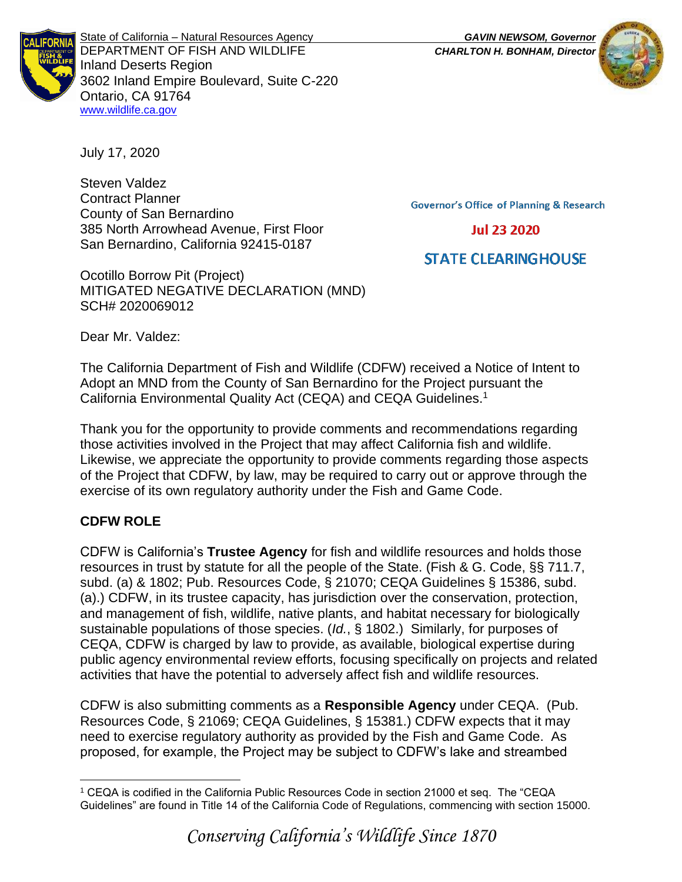

State of California – Natural Resources Agency *GAVIN NEWSOM, Governor* DEPARTMENT OF FISH AND WILDLIFE *CHARLTON H. BONHAM, Director*  Inland Deserts Region 3602 Inland Empire Boulevard, Suite C-220 Ontario, CA 91764 [www.wildlife.ca.gov](http://www.cdfw.ca.gov/)



July 17, 2020

Steven Valdez Contract Planner County of San Bernardino 385 North Arrowhead Avenue, First Floor San Bernardino, California 92415-0187

Ocotillo Borrow Pit (Project) MITIGATED NEGATIVE DECLARATION (MND) SCH# 2020069012

**Governor's Office of Planning & Research** 

**Jul 23 2020** 

# **STATE CLEARING HOUSE**

Dear Mr. Valdez:

The California Department of Fish and Wildlife (CDFW) received a Notice of Intent to Adopt an MND from the County of San Bernardino for the Project pursuant the California Environmental Quality Act (CEQA) and CEQA Guidelines.<sup>1</sup>

Thank you for the opportunity to provide comments and recommendations regarding those activities involved in the Project that may affect California fish and wildlife. Likewise, we appreciate the opportunity to provide comments regarding those aspects of the Project that CDFW, by law, may be required to carry out or approve through the exercise of its own regulatory authority under the Fish and Game Code.

# **CDFW ROLE**

CDFW is California's **Trustee Agency** for fish and wildlife resources and holds those resources in trust by statute for all the people of the State. (Fish & G. Code, §§ 711.7, subd. (a) & 1802; Pub. Resources Code, § 21070; CEQA Guidelines § 15386, subd. (a).) CDFW, in its trustee capacity, has jurisdiction over the conservation, protection, and management of fish, wildlife, native plants, and habitat necessary for biologically sustainable populations of those species. (*Id.*, § 1802.) Similarly, for purposes of CEQA, CDFW is charged by law to provide, as available, biological expertise during public agency environmental review efforts, focusing specifically on projects and related activities that have the potential to adversely affect fish and wildlife resources.

CDFW is also submitting comments as a **Responsible Agency** under CEQA. (Pub. Resources Code, § 21069; CEQA Guidelines, § 15381.) CDFW expects that it may need to exercise regulatory authority as provided by the Fish and Game Code. As proposed, for example, the Project may be subject to CDFW's lake and streambed

<sup>1</sup> CEQA is codified in the California Public Resources Code in section 21000 et seq. The "CEQA Guidelines" are found in Title 14 of the California Code of Regulations, commencing with section 15000.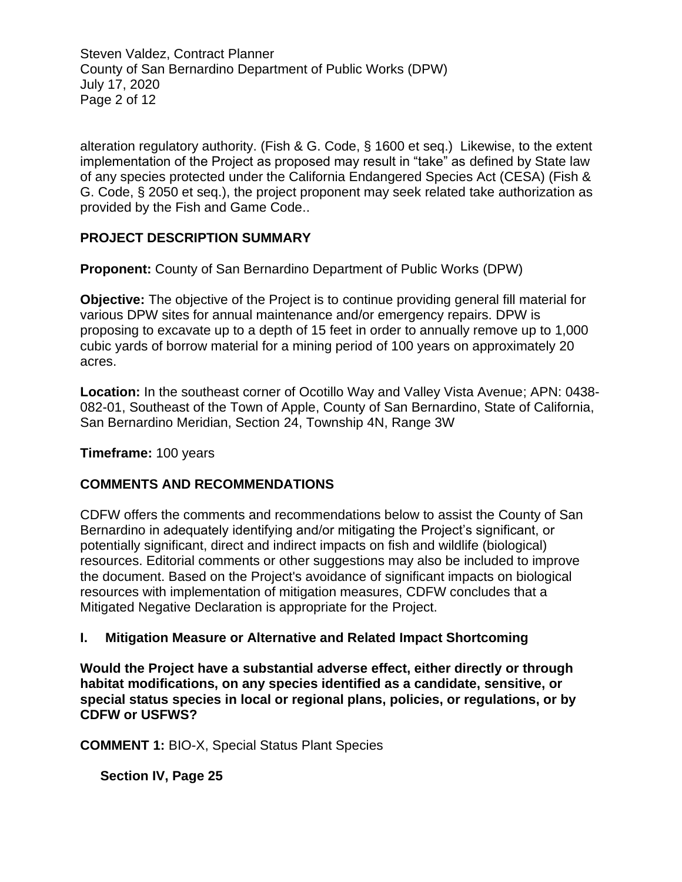Steven Valdez, Contract Planner County of San Bernardino Department of Public Works (DPW) July 17, 2020 Page 2 of 12

alteration regulatory authority. (Fish & G. Code, § 1600 et seq.) Likewise, to the extent implementation of the Project as proposed may result in "take" as defined by State law of any species protected under the California Endangered Species Act (CESA) (Fish & G. Code, § 2050 et seq.), the project proponent may seek related take authorization as provided by the Fish and Game Code..

# **PROJECT DESCRIPTION SUMMARY**

**Proponent:** County of San Bernardino Department of Public Works (DPW)

**Objective:** The objective of the Project is to continue providing general fill material for various DPW sites for annual maintenance and/or emergency repairs. DPW is proposing to excavate up to a depth of 15 feet in order to annually remove up to 1,000 cubic yards of borrow material for a mining period of 100 years on approximately 20 acres.

**Location:** In the southeast corner of Ocotillo Way and Valley Vista Avenue; APN: 0438- 082-01, Southeast of the Town of Apple, County of San Bernardino, State of California, San Bernardino Meridian, Section 24, Township 4N, Range 3W

#### **Timeframe:** 100 years

#### **COMMENTS AND RECOMMENDATIONS**

CDFW offers the comments and recommendations below to assist the County of San Bernardino in adequately identifying and/or mitigating the Project's significant, or potentially significant, direct and indirect impacts on fish and wildlife (biological) resources. Editorial comments or other suggestions may also be included to improve the document. Based on the Project's avoidance of significant impacts on biological resources with implementation of mitigation measures, CDFW concludes that a Mitigated Negative Declaration is appropriate for the Project.

#### **I. Mitigation Measure or Alternative and Related Impact Shortcoming**

**Would the Project have a substantial adverse effect, either directly or through habitat modifications, on any species identified as a candidate, sensitive, or special status species in local or regional plans, policies, or regulations, or by CDFW or USFWS?** 

**COMMENT 1:** BIO-X, Special Status Plant Species

**Section IV, Page 25**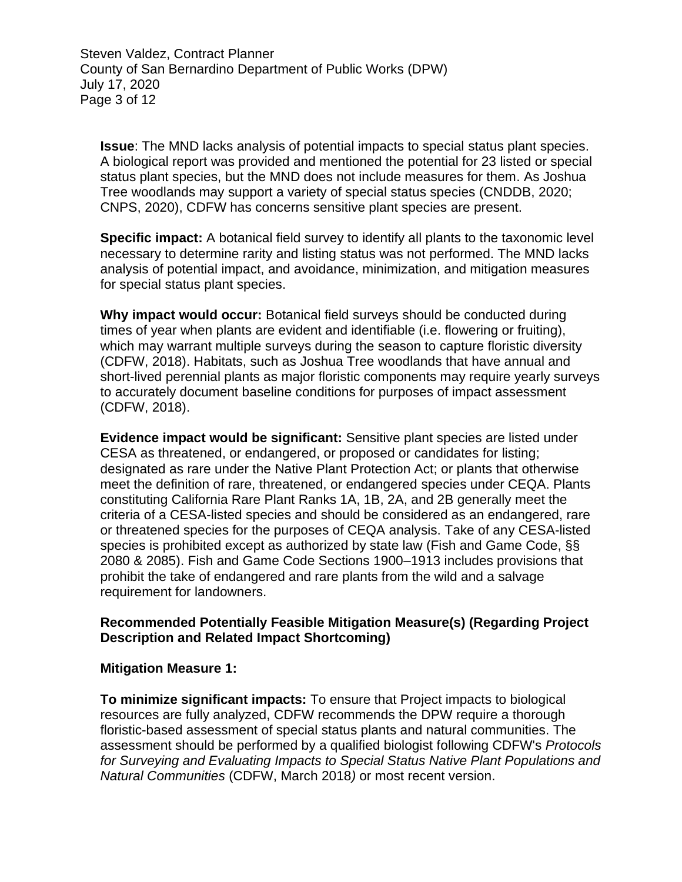Steven Valdez, Contract Planner County of San Bernardino Department of Public Works (DPW) July 17, 2020 Page 3 of 12

**Issue**: The MND lacks analysis of potential impacts to special status plant species. A biological report was provided and mentioned the potential for 23 listed or special status plant species, but the MND does not include measures for them. As Joshua Tree woodlands may support a variety of special status species (CNDDB, 2020; CNPS, 2020), CDFW has concerns sensitive plant species are present.

**Specific impact:** A botanical field survey to identify all plants to the taxonomic level necessary to determine rarity and listing status was not performed. The MND lacks analysis of potential impact, and avoidance, minimization, and mitigation measures for special status plant species.

**Why impact would occur:** Botanical field surveys should be conducted during times of year when plants are evident and identifiable (i.e. flowering or fruiting), which may warrant multiple surveys during the season to capture floristic diversity (CDFW, 2018). Habitats, such as Joshua Tree woodlands that have annual and short-lived perennial plants as major floristic components may require yearly surveys to accurately document baseline conditions for purposes of impact assessment (CDFW, 2018).

**Evidence impact would be significant:** Sensitive plant species are listed under CESA as threatened, or endangered, or proposed or candidates for listing; designated as rare under the Native Plant Protection Act; or plants that otherwise meet the definition of rare, threatened, or endangered species under CEQA. Plants constituting California Rare Plant Ranks 1A, 1B, 2A, and 2B generally meet the criteria of a CESA-listed species and should be considered as an endangered, rare or threatened species for the purposes of CEQA analysis. Take of any CESA-listed species is prohibited except as authorized by state law (Fish and Game Code, §§ 2080 & 2085). Fish and Game Code Sections 1900–1913 includes provisions that prohibit the take of endangered and rare plants from the wild and a salvage requirement for landowners.

#### **Recommended Potentially Feasible Mitigation Measure(s) (Regarding Project Description and Related Impact Shortcoming)**

#### **Mitigation Measure 1:**

**To minimize significant impacts:** To ensure that Project impacts to biological resources are fully analyzed, CDFW recommends the DPW require a thorough floristic-based assessment of special status plants and natural communities. The assessment should be performed by a qualified biologist following CDFW's *Protocols for Surveying and Evaluating Impacts to Special Status Native Plant Populations and Natural Communities* (CDFW, March 2018*)* or most recent version.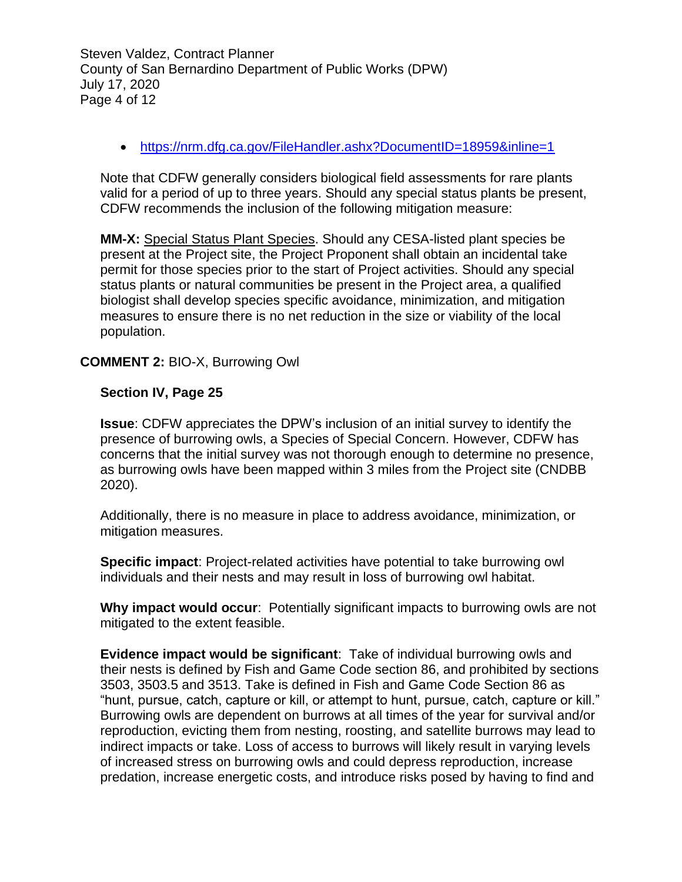Steven Valdez, Contract Planner County of San Bernardino Department of Public Works (DPW) July 17, 2020 Page 4 of 12

• <https://nrm.dfg.ca.gov/FileHandler.ashx?DocumentID=18959&inline=1>

Note that CDFW generally considers biological field assessments for rare plants valid for a period of up to three years. Should any special status plants be present, CDFW recommends the inclusion of the following mitigation measure:

**MM-X:** Special Status Plant Species. Should any CESA-listed plant species be present at the Project site, the Project Proponent shall obtain an incidental take permit for those species prior to the start of Project activities. Should any special status plants or natural communities be present in the Project area, a qualified biologist shall develop species specific avoidance, minimization, and mitigation measures to ensure there is no net reduction in the size or viability of the local population.

# **COMMENT 2:** BIO-X, Burrowing Owl

#### **Section IV, Page 25**

**Issue**: CDFW appreciates the DPW's inclusion of an initial survey to identify the presence of burrowing owls, a Species of Special Concern. However, CDFW has concerns that the initial survey was not thorough enough to determine no presence, as burrowing owls have been mapped within 3 miles from the Project site (CNDBB 2020).

Additionally, there is no measure in place to address avoidance, minimization, or mitigation measures.

**Specific impact**: Project-related activities have potential to take burrowing owl individuals and their nests and may result in loss of burrowing owl habitat.

**Why impact would occur**: Potentially significant impacts to burrowing owls are not mitigated to the extent feasible.

**Evidence impact would be significant**: Take of individual burrowing owls and their nests is defined by Fish and Game Code section 86, and prohibited by sections 3503, 3503.5 and 3513. Take is defined in Fish and Game Code Section 86 as "hunt, pursue, catch, capture or kill, or attempt to hunt, pursue, catch, capture or kill." Burrowing owls are dependent on burrows at all times of the year for survival and/or reproduction, evicting them from nesting, roosting, and satellite burrows may lead to indirect impacts or take. Loss of access to burrows will likely result in varying levels of increased stress on burrowing owls and could depress reproduction, increase predation, increase energetic costs, and introduce risks posed by having to find and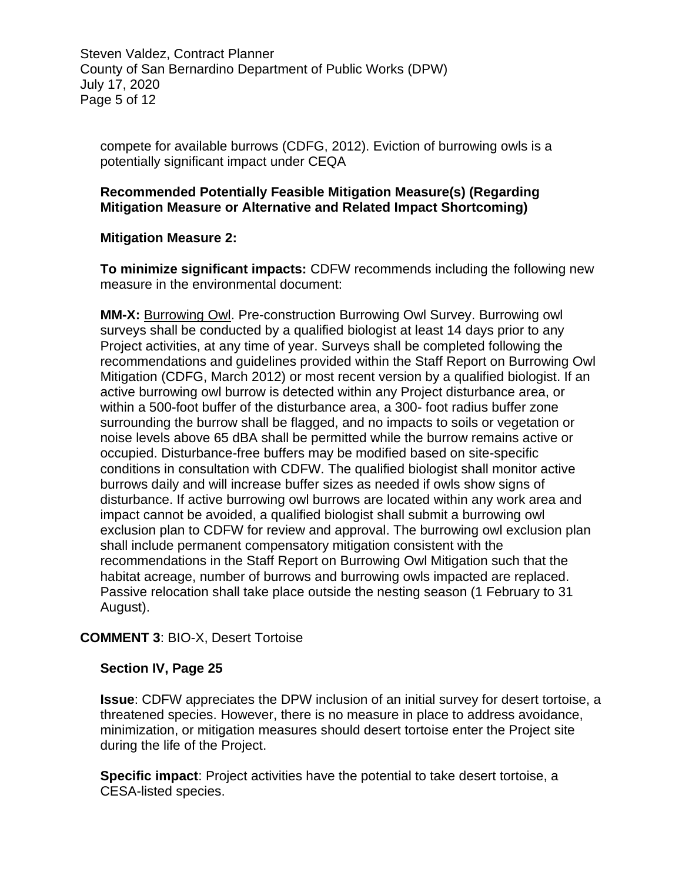Steven Valdez, Contract Planner County of San Bernardino Department of Public Works (DPW) July 17, 2020 Page 5 of 12

compete for available burrows (CDFG, 2012). Eviction of burrowing owls is a potentially significant impact under CEQA

### **Recommended Potentially Feasible Mitigation Measure(s) (Regarding Mitigation Measure or Alternative and Related Impact Shortcoming)**

# **Mitigation Measure 2:**

**To minimize significant impacts:** CDFW recommends including the following new measure in the environmental document:

**MM-X:** Burrowing Owl. Pre-construction Burrowing Owl Survey. Burrowing owl surveys shall be conducted by a qualified biologist at least 14 days prior to any Project activities, at any time of year. Surveys shall be completed following the recommendations and guidelines provided within the Staff Report on Burrowing Owl Mitigation (CDFG, March 2012) or most recent version by a qualified biologist. If an active burrowing owl burrow is detected within any Project disturbance area, or within a 500-foot buffer of the disturbance area, a 300- foot radius buffer zone surrounding the burrow shall be flagged, and no impacts to soils or vegetation or noise levels above 65 dBA shall be permitted while the burrow remains active or occupied. Disturbance-free buffers may be modified based on site-specific conditions in consultation with CDFW. The qualified biologist shall monitor active burrows daily and will increase buffer sizes as needed if owls show signs of disturbance. If active burrowing owl burrows are located within any work area and impact cannot be avoided, a qualified biologist shall submit a burrowing owl exclusion plan to CDFW for review and approval. The burrowing owl exclusion plan shall include permanent compensatory mitigation consistent with the recommendations in the Staff Report on Burrowing Owl Mitigation such that the habitat acreage, number of burrows and burrowing owls impacted are replaced. Passive relocation shall take place outside the nesting season (1 February to 31 August).

# **COMMENT 3**: BIO-X, Desert Tortoise

#### **Section IV, Page 25**

**Issue**: CDFW appreciates the DPW inclusion of an initial survey for desert tortoise, a threatened species. However, there is no measure in place to address avoidance, minimization, or mitigation measures should desert tortoise enter the Project site during the life of the Project.

**Specific impact**: Project activities have the potential to take desert tortoise, a CESA-listed species.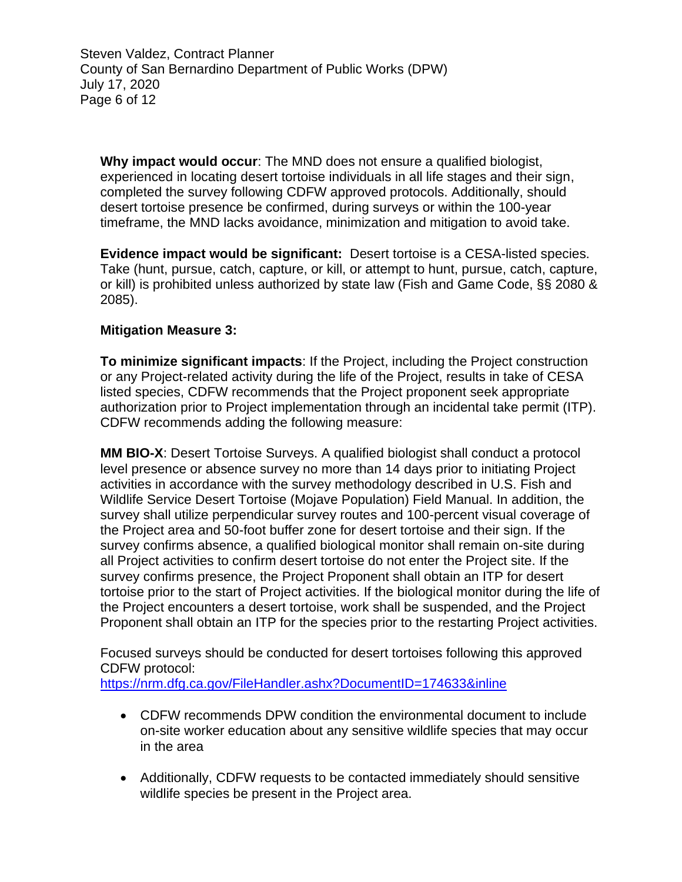Steven Valdez, Contract Planner County of San Bernardino Department of Public Works (DPW) July 17, 2020 Page 6 of 12

**Why impact would occur**: The MND does not ensure a qualified biologist, experienced in locating desert tortoise individuals in all life stages and their sign, completed the survey following CDFW approved protocols. Additionally, should desert tortoise presence be confirmed, during surveys or within the 100-year timeframe, the MND lacks avoidance, minimization and mitigation to avoid take.

**Evidence impact would be significant:** Desert tortoise is a CESA-listed species. Take (hunt, pursue, catch, capture, or kill, or attempt to hunt, pursue, catch, capture, or kill) is prohibited unless authorized by state law (Fish and Game Code, §§ 2080 & 2085).

# **Mitigation Measure 3:**

**To minimize significant impacts**: If the Project, including the Project construction or any Project-related activity during the life of the Project, results in take of CESA listed species, CDFW recommends that the Project proponent seek appropriate authorization prior to Project implementation through an incidental take permit (ITP). CDFW recommends adding the following measure:

**MM BIO-X**: Desert Tortoise Surveys. A qualified biologist shall conduct a protocol level presence or absence survey no more than 14 days prior to initiating Project activities in accordance with the survey methodology described in U.S. Fish and Wildlife Service Desert Tortoise (Mojave Population) Field Manual. In addition, the survey shall utilize perpendicular survey routes and 100-percent visual coverage of the Project area and 50-foot buffer zone for desert tortoise and their sign. If the survey confirms absence, a qualified biological monitor shall remain on-site during all Project activities to confirm desert tortoise do not enter the Project site. If the survey confirms presence, the Project Proponent shall obtain an ITP for desert tortoise prior to the start of Project activities. If the biological monitor during the life of the Project encounters a desert tortoise, work shall be suspended, and the Project Proponent shall obtain an ITP for the species prior to the restarting Project activities.

Focused surveys should be conducted for desert tortoises following this approved CDFW protocol:

<https://nrm.dfg.ca.gov/FileHandler.ashx?DocumentID=174633&inline>

- CDFW recommends DPW condition the environmental document to include on-site worker education about any sensitive wildlife species that may occur in the area
- Additionally, CDFW requests to be contacted immediately should sensitive wildlife species be present in the Project area.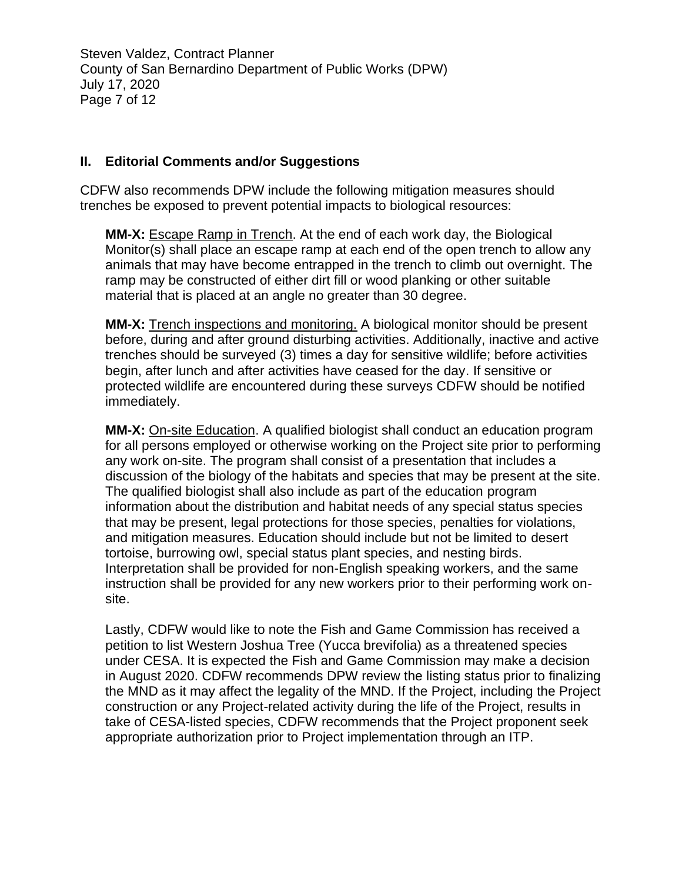Steven Valdez, Contract Planner County of San Bernardino Department of Public Works (DPW) July 17, 2020 Page 7 of 12

### **II. Editorial Comments and/or Suggestions**

CDFW also recommends DPW include the following mitigation measures should trenches be exposed to prevent potential impacts to biological resources:

**MM-X:** Escape Ramp in Trench. At the end of each work day, the Biological Monitor(s) shall place an escape ramp at each end of the open trench to allow any animals that may have become entrapped in the trench to climb out overnight. The ramp may be constructed of either dirt fill or wood planking or other suitable material that is placed at an angle no greater than 30 degree.

**MM-X:** Trench inspections and monitoring. A biological monitor should be present before, during and after ground disturbing activities. Additionally, inactive and active trenches should be surveyed (3) times a day for sensitive wildlife; before activities begin, after lunch and after activities have ceased for the day. If sensitive or protected wildlife are encountered during these surveys CDFW should be notified immediately.

**MM-X:** On-site Education. A qualified biologist shall conduct an education program for all persons employed or otherwise working on the Project site prior to performing any work on-site. The program shall consist of a presentation that includes a discussion of the biology of the habitats and species that may be present at the site. The qualified biologist shall also include as part of the education program information about the distribution and habitat needs of any special status species that may be present, legal protections for those species, penalties for violations, and mitigation measures. Education should include but not be limited to desert tortoise, burrowing owl, special status plant species, and nesting birds. Interpretation shall be provided for non-English speaking workers, and the same instruction shall be provided for any new workers prior to their performing work onsite.

Lastly, CDFW would like to note the Fish and Game Commission has received a petition to list Western Joshua Tree (Yucca brevifolia) as a threatened species under CESA. It is expected the Fish and Game Commission may make a decision in August 2020. CDFW recommends DPW review the listing status prior to finalizing the MND as it may affect the legality of the MND. If the Project, including the Project construction or any Project-related activity during the life of the Project, results in take of CESA-listed species, CDFW recommends that the Project proponent seek appropriate authorization prior to Project implementation through an ITP.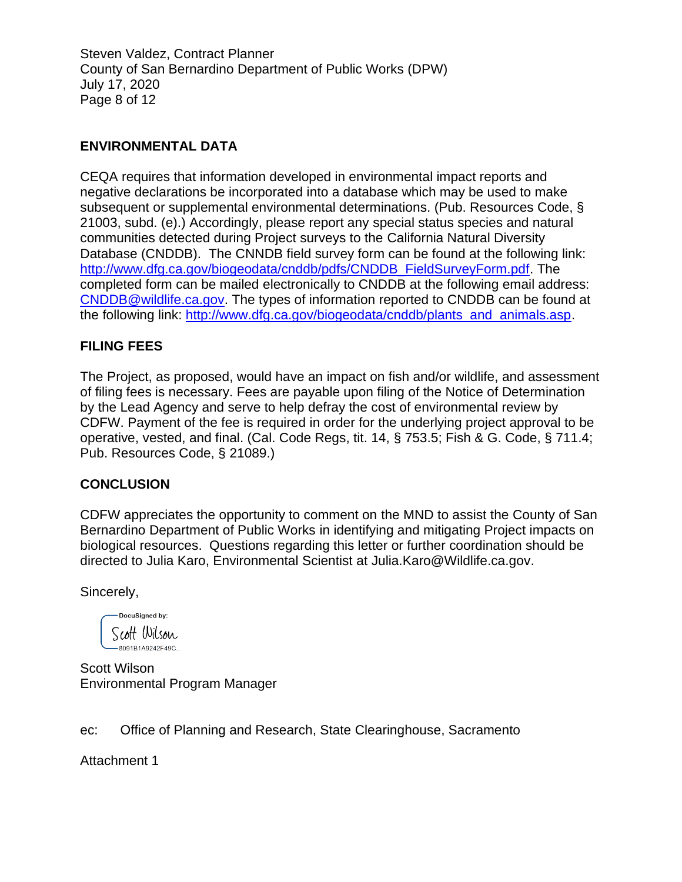Steven Valdez, Contract Planner County of San Bernardino Department of Public Works (DPW) July 17, 2020 Page 8 of 12

# **ENVIRONMENTAL DATA**

CEQA requires that information developed in environmental impact reports and negative declarations be incorporated into a database which may be used to make subsequent or supplemental environmental determinations. (Pub. Resources Code, § 21003, subd. (e).) Accordingly, please report any special status species and natural communities detected during Project surveys to the California Natural Diversity Database (CNDDB). The CNNDB field survey form can be found at the following link: [http://www.dfg.ca.gov/biogeodata/cnddb/pdfs/CNDDB\\_FieldSurveyForm.pdf.](http://www.dfg.ca.gov/biogeodata/cnddb/pdfs/CNDDB_FieldSurveyForm.pdf) The completed form can be mailed electronically to CNDDB at the following email address: [CNDDB@wildlife.ca.gov.](mailto:cnddb@dfg.ca.gov) The types of information reported to CNDDB can be found at the following link: [http://www.dfg.ca.gov/biogeodata/cnddb/plants\\_and\\_animals.asp.](http://www.dfg.ca.gov/biogeodata/cnddb/plants_and_animals.asp)

# **FILING FEES**

The Project, as proposed, would have an impact on fish and/or wildlife, and assessment of filing fees is necessary. Fees are payable upon filing of the Notice of Determination by the Lead Agency and serve to help defray the cost of environmental review by CDFW. Payment of the fee is required in order for the underlying project approval to be operative, vested, and final. (Cal. Code Regs, tit. 14, § 753.5; Fish & G. Code, § 711.4; Pub. Resources Code, § 21089.)

#### **CONCLUSION**

CDFW appreciates the opportunity to comment on the MND to assist the County of San Bernardino Department of Public Works in identifying and mitigating Project impacts on biological resources. Questions regarding this letter or further coordination should be directed to Julia Karo, Environmental Scientist at Julia.Karo@Wildlife.ca.gov.

Sincerely,

DocuSigned by: Scott Wilson -8091B1A9242F49C

Scott Wilson Environmental Program Manager

ec: Office of Planning and Research, State Clearinghouse, Sacramento

Attachment 1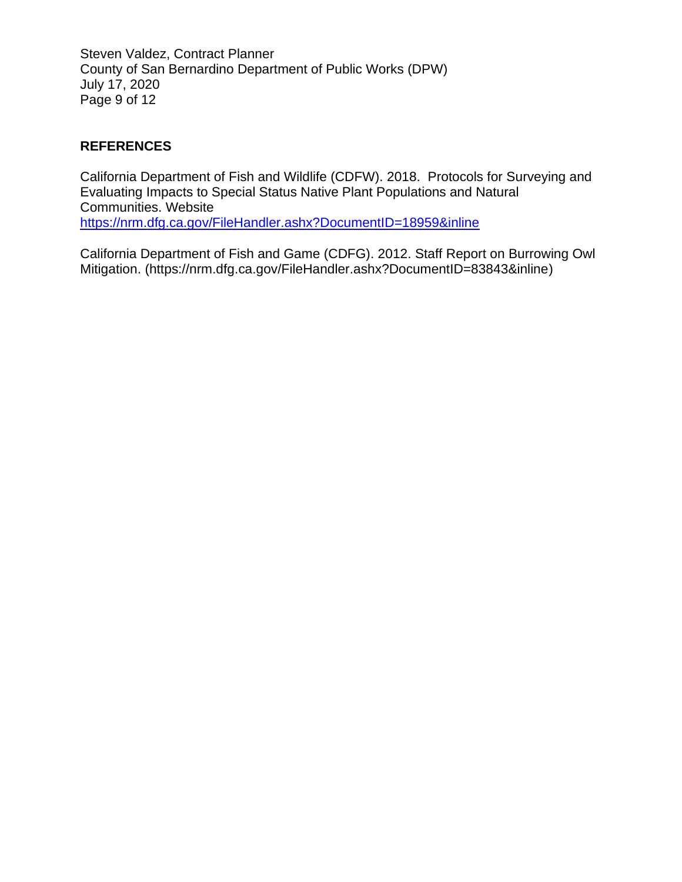Steven Valdez, Contract Planner County of San Bernardino Department of Public Works (DPW) July 17, 2020 Page 9 of 12

# **REFERENCES**

California Department of Fish and Wildlife (CDFW). 2018. Protocols for Surveying and Evaluating Impacts to Special Status Native Plant Populations and Natural Communities. Website <https://nrm.dfg.ca.gov/FileHandler.ashx?DocumentID=18959&inline>

California Department of Fish and Game (CDFG). 2012. Staff Report on Burrowing Owl Mitigation. [\(https://nrm.dfg.ca.gov/FileHandler.ashx?DocumentID=83843&inline\)](https://nrm.dfg.ca.gov/FileHandler.ashx?DocumentID=83843&inline)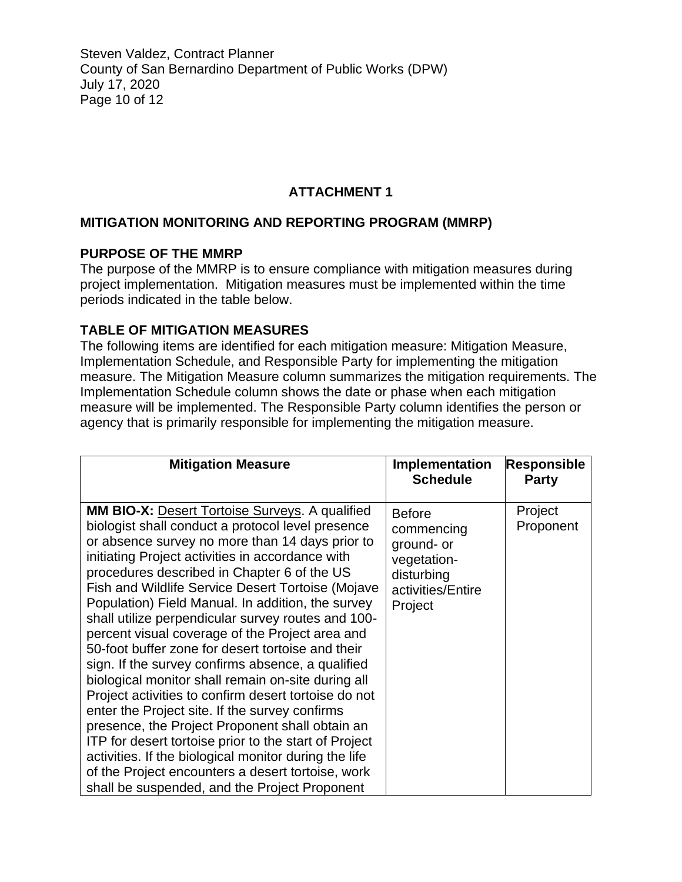Steven Valdez, Contract Planner County of San Bernardino Department of Public Works (DPW) July 17, 2020 Page 10 of 12

# **ATTACHMENT 1**

# **MITIGATION MONITORING AND REPORTING PROGRAM (MMRP)**

#### **PURPOSE OF THE MMRP**

The purpose of the MMRP is to ensure compliance with mitigation measures during project implementation. Mitigation measures must be implemented within the time periods indicated in the table below.

#### **TABLE OF MITIGATION MEASURES**

The following items are identified for each mitigation measure: Mitigation Measure, Implementation Schedule, and Responsible Party for implementing the mitigation measure. The Mitigation Measure column summarizes the mitigation requirements. The Implementation Schedule column shows the date or phase when each mitigation measure will be implemented. The Responsible Party column identifies the person or agency that is primarily responsible for implementing the mitigation measure.

| <b>Mitigation Measure</b>                                                                                                                                                                                                                                                                                                                                                                                                                                                                                                                                                                                                                                                                                                                                                                                                                                                                                                                                                                                                                              | Implementation<br><b>Schedule</b>                                                                      | <b>Responsible</b><br><b>Party</b> |
|--------------------------------------------------------------------------------------------------------------------------------------------------------------------------------------------------------------------------------------------------------------------------------------------------------------------------------------------------------------------------------------------------------------------------------------------------------------------------------------------------------------------------------------------------------------------------------------------------------------------------------------------------------------------------------------------------------------------------------------------------------------------------------------------------------------------------------------------------------------------------------------------------------------------------------------------------------------------------------------------------------------------------------------------------------|--------------------------------------------------------------------------------------------------------|------------------------------------|
| <b>MM BIO-X:</b> Desert Tortoise Surveys. A qualified<br>biologist shall conduct a protocol level presence<br>or absence survey no more than 14 days prior to<br>initiating Project activities in accordance with<br>procedures described in Chapter 6 of the US<br><b>Fish and Wildlife Service Desert Tortoise (Mojave</b><br>Population) Field Manual. In addition, the survey<br>shall utilize perpendicular survey routes and 100-<br>percent visual coverage of the Project area and<br>50-foot buffer zone for desert tortoise and their<br>sign. If the survey confirms absence, a qualified<br>biological monitor shall remain on-site during all<br>Project activities to confirm desert tortoise do not<br>enter the Project site. If the survey confirms<br>presence, the Project Proponent shall obtain an<br><b>ITP</b> for desert tortoise prior to the start of Project<br>activities. If the biological monitor during the life<br>of the Project encounters a desert tortoise, work<br>shall be suspended, and the Project Proponent | <b>Before</b><br>commencing<br>ground- or<br>vegetation-<br>disturbing<br>activities/Entire<br>Project | Project<br>Proponent               |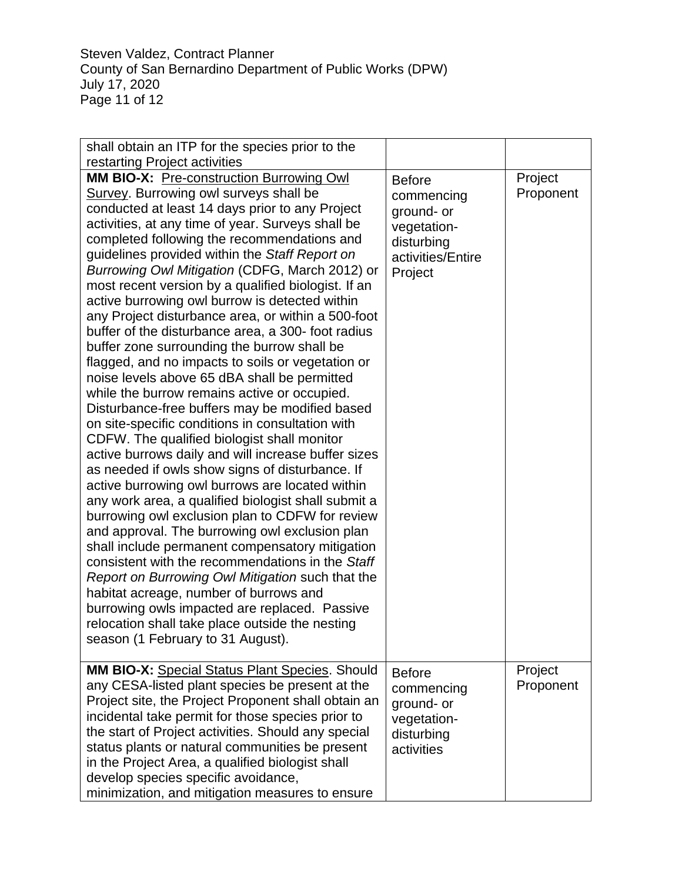Steven Valdez, Contract Planner County of San Bernardino Department of Public Works (DPW) July 17, 2020 Page 11 of 12

| shall obtain an ITP for the species prior to the                                                                                                                                                                                                                                                                                                                                                                                                                                                                                                                                                                                                                                                                                                                                                                                                                                                                                                                                                                                                                                                                                                                                                                                                                                                                                                                                                                                                                                                                                                                                                   |                                                                                                        |                      |
|----------------------------------------------------------------------------------------------------------------------------------------------------------------------------------------------------------------------------------------------------------------------------------------------------------------------------------------------------------------------------------------------------------------------------------------------------------------------------------------------------------------------------------------------------------------------------------------------------------------------------------------------------------------------------------------------------------------------------------------------------------------------------------------------------------------------------------------------------------------------------------------------------------------------------------------------------------------------------------------------------------------------------------------------------------------------------------------------------------------------------------------------------------------------------------------------------------------------------------------------------------------------------------------------------------------------------------------------------------------------------------------------------------------------------------------------------------------------------------------------------------------------------------------------------------------------------------------------------|--------------------------------------------------------------------------------------------------------|----------------------|
| restarting Project activities                                                                                                                                                                                                                                                                                                                                                                                                                                                                                                                                                                                                                                                                                                                                                                                                                                                                                                                                                                                                                                                                                                                                                                                                                                                                                                                                                                                                                                                                                                                                                                      |                                                                                                        |                      |
| MM BIO-X: Pre-construction Burrowing Owl<br>Survey. Burrowing owl surveys shall be<br>conducted at least 14 days prior to any Project<br>activities, at any time of year. Surveys shall be<br>completed following the recommendations and<br>guidelines provided within the Staff Report on<br>Burrowing Owl Mitigation (CDFG, March 2012) or<br>most recent version by a qualified biologist. If an<br>active burrowing owl burrow is detected within<br>any Project disturbance area, or within a 500-foot<br>buffer of the disturbance area, a 300- foot radius<br>buffer zone surrounding the burrow shall be<br>flagged, and no impacts to soils or vegetation or<br>noise levels above 65 dBA shall be permitted<br>while the burrow remains active or occupied.<br>Disturbance-free buffers may be modified based<br>on site-specific conditions in consultation with<br>CDFW. The qualified biologist shall monitor<br>active burrows daily and will increase buffer sizes<br>as needed if owls show signs of disturbance. If<br>active burrowing owl burrows are located within<br>any work area, a qualified biologist shall submit a<br>burrowing owl exclusion plan to CDFW for review<br>and approval. The burrowing owl exclusion plan<br>shall include permanent compensatory mitigation<br>consistent with the recommendations in the Staff<br>Report on Burrowing Owl Mitigation such that the<br>habitat acreage, number of burrows and<br>burrowing owls impacted are replaced. Passive<br>relocation shall take place outside the nesting<br>season (1 February to 31 August). | <b>Before</b><br>commencing<br>ground- or<br>vegetation-<br>disturbing<br>activities/Entire<br>Project | Project<br>Proponent |
| <b>MM BIO-X:</b> Special Status Plant Species. Should<br>any CESA-listed plant species be present at the<br>Project site, the Project Proponent shall obtain an<br>incidental take permit for those species prior to<br>the start of Project activities. Should any special<br>status plants or natural communities be present<br>in the Project Area, a qualified biologist shall<br>develop species specific avoidance,<br>minimization, and mitigation measures to ensure                                                                                                                                                                                                                                                                                                                                                                                                                                                                                                                                                                                                                                                                                                                                                                                                                                                                                                                                                                                                                                                                                                                       | <b>Before</b><br>commencing<br>ground- or<br>vegetation-<br>disturbing<br>activities                   | Project<br>Proponent |